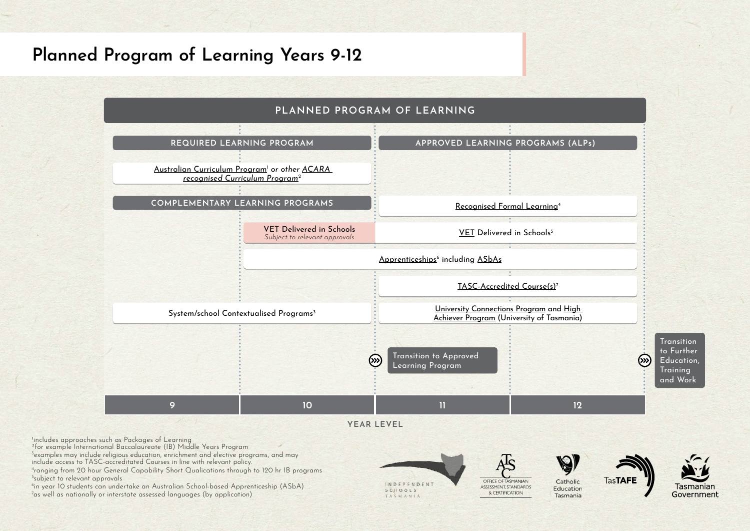## **Planned Program of Learning Years 9-12**



²for example International Baccalaureate (IB) Middle Years Program

3 examples may include religious education, enrichment and elective programs, and may include access to TASC-accreditated Courses in line with relevant policy.

4 ranging from 20 hour General Capability Short Qualications through to 120 hr IB programs

5 subject to relevant approvals

6in year 10 students can undertake an Australian School-based Apprenticeship (ASbA) <sup>7</sup>as well as nationally or interstate assessed languages (by application)

INDEPENDENT SCHOOLS TASMANIA

OFFICE OF TASMANIAN ASSESSMENT STANDARDS & CERTIFICATION

Catholic Education Tasmania

**TasTAFI** 

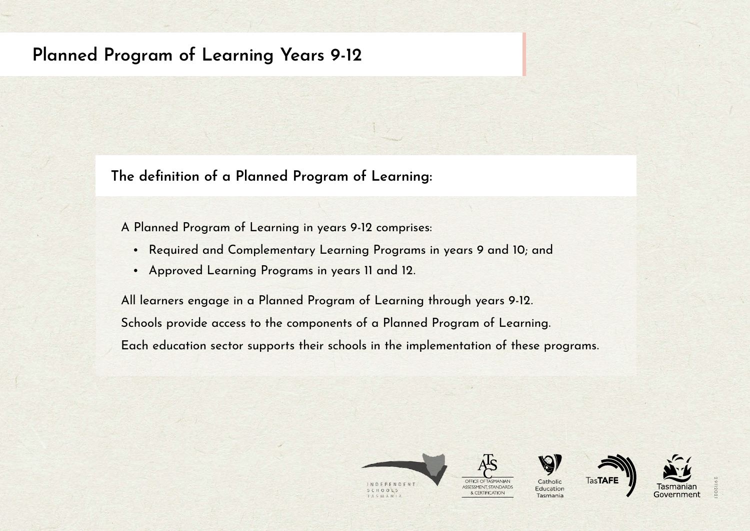## **Planned Program of Learning Years 9-12**

**The definition of a Planned Program of Learning:** 

A Planned Program of Learning in years 9-12 comprises:

- Required and Complementary Learning Programs in years 9 and 10; and
- Approved Learning Programs in years 11 and 12.

All learners engage in a Planned Program of Learning through years 9-12. Schools provide access to the components of a Planned Program of Learning. Each education sector supports their schools in the implementation of these programs.





& CERTIFICATION







atholi Education Tasmania

29112021